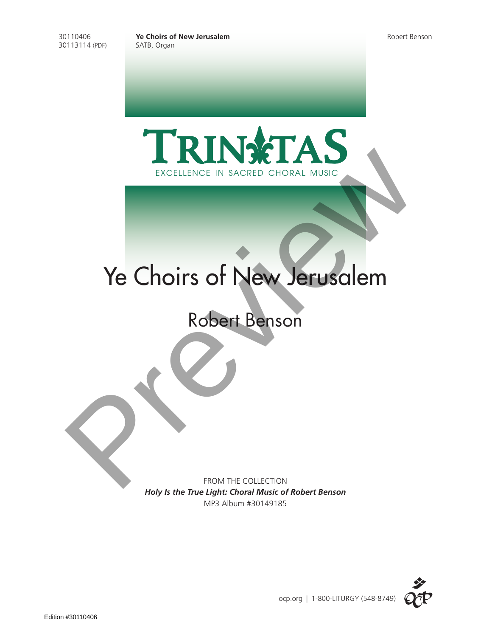30110406 **Ye Choirs of New Jerusalem** Robert Benson





## Ye Choirs of New Jerusalem EXCELLENCE IN SACRED CHORAL MUSIC<br>
Ye Choirs of New Jerusalem<br>
Robert Benson<br>
Robert Benson

FROM THE COLLECTION *Holy Is the True Light: Choral Music of Robert Benson* MP3 Album #30149185

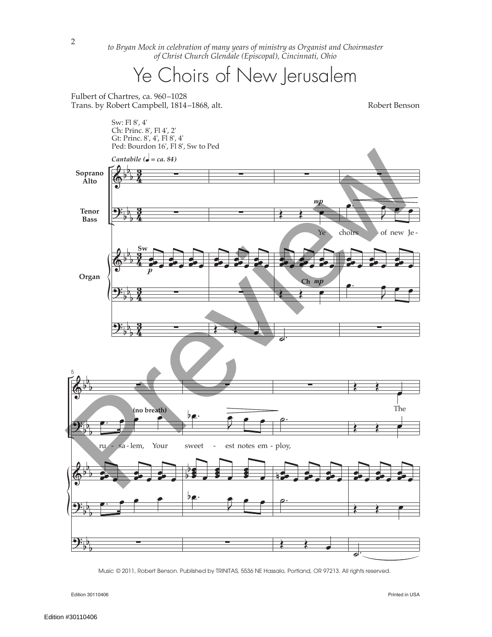*to Bryan Mock in celebration of many years of ministry as Organist and Choirmaster of Christ Church Glendale (Episcopal), Cincinnati, Ohio*

## Ye Choirs of New Jerusalem

Fulbert of Chartres, ca. 960–1028 Trans. by Robert Campbell, 1814–1868, alt. Robert Benson

Sw: Fl 8', 4'



© 2011, Robert Benson. Published by TRINITAS, 5536 NE Hassalo, Portland, OR 97213. All rights reserved. Music

Edition 30110406 Printed in USA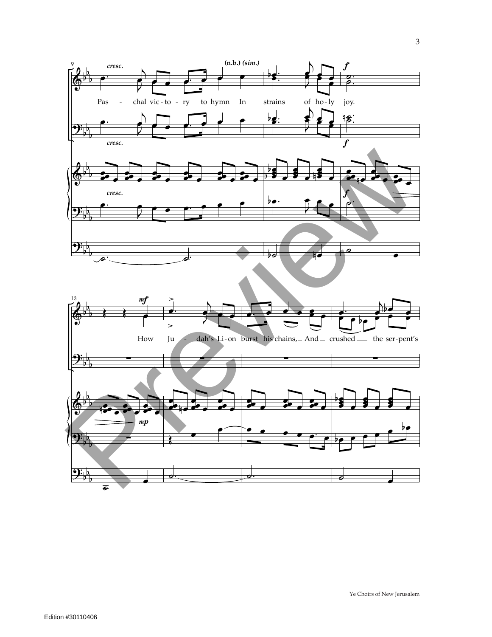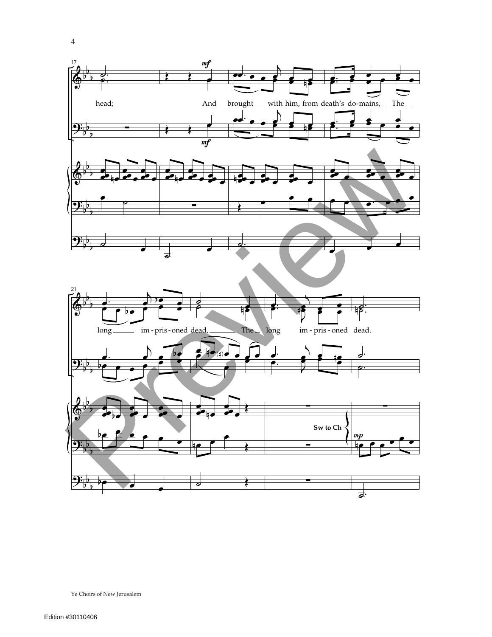

Ye Choirs of New Jerusalem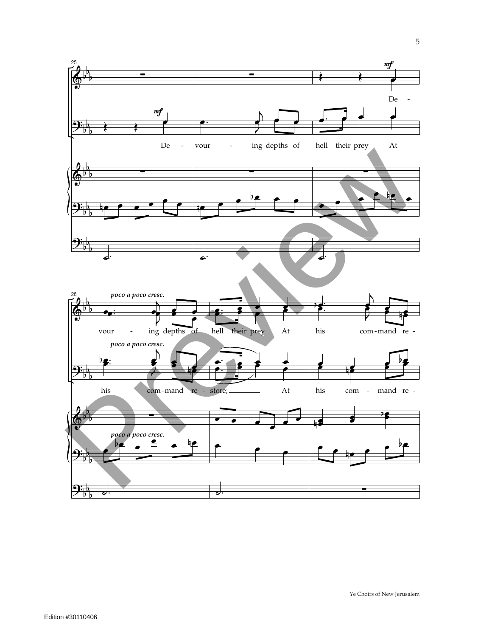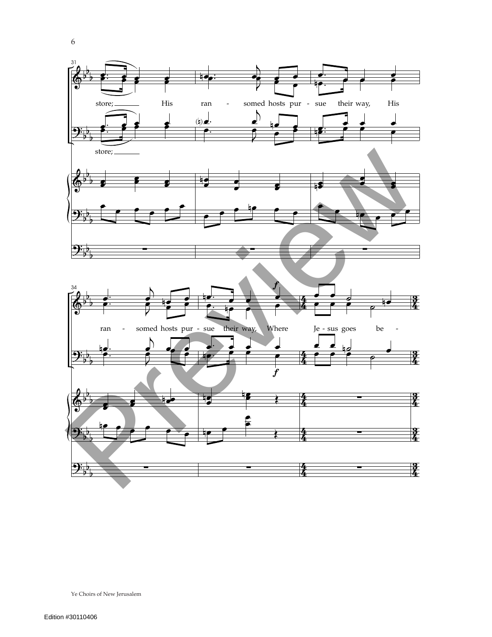

Ye Choirs of New Jerusalem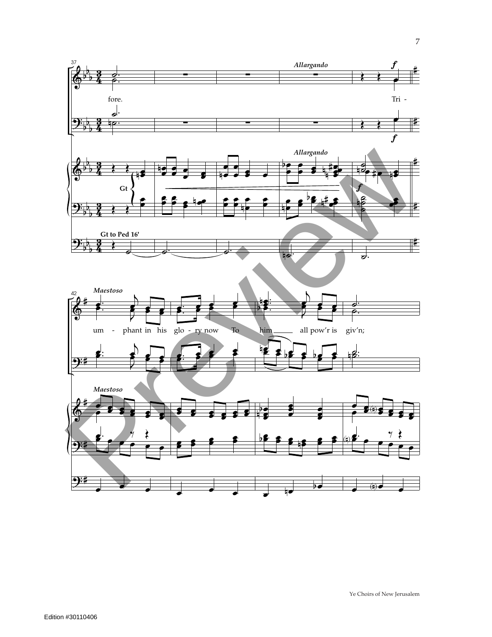

 $\overline{7}$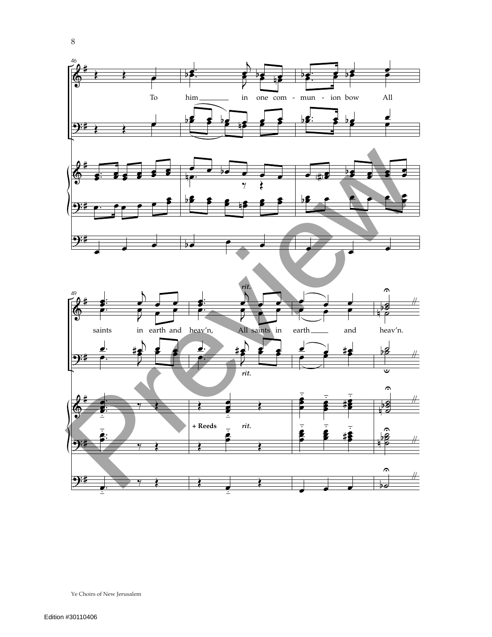

Ye Choirs of New Jerusalem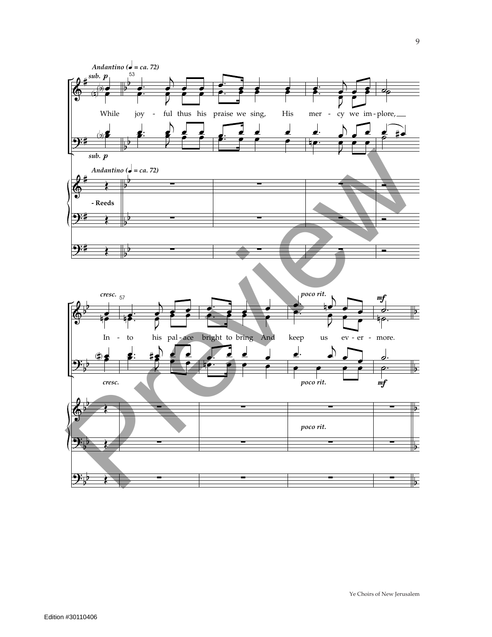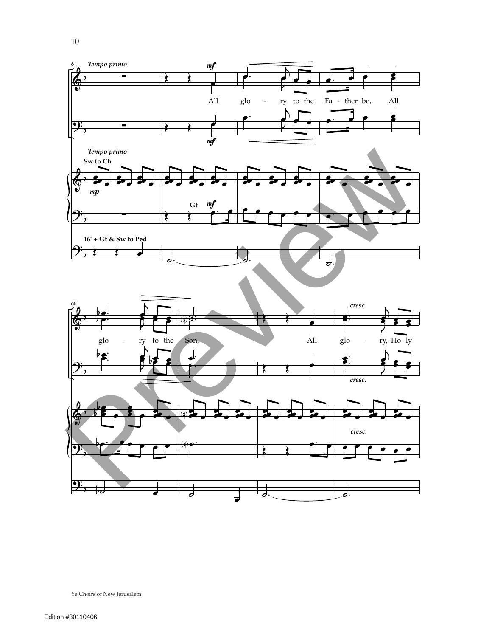

Ye Choirs of New Jerusalem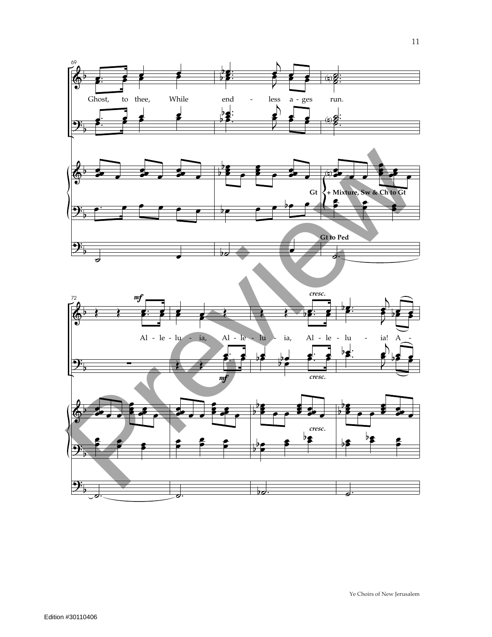